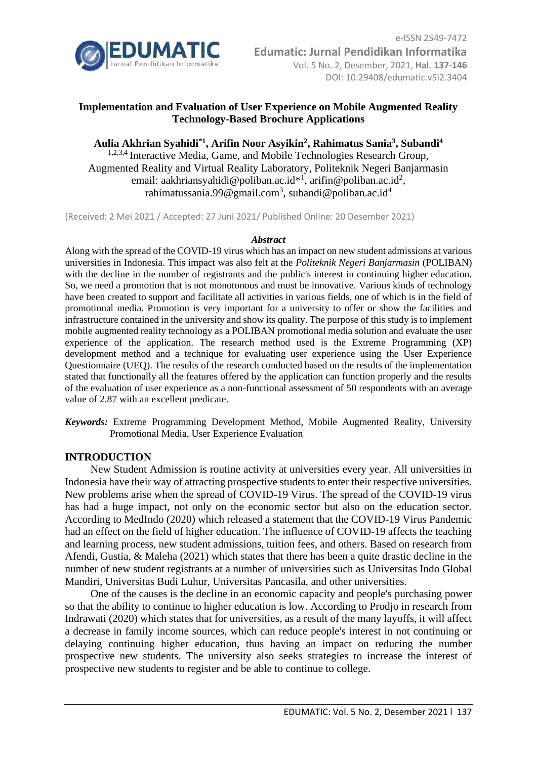

# **Implementation and Evaluation of User Experience on Mobile Augmented Reality Technology-Based Brochure Applications**

**Aulia Akhrian Syahidi\*1, Arifin Noor Asyikin<sup>2</sup> , Rahimatus Sania<sup>3</sup> , Subandi<sup>4</sup>** <sup>1,2,3,4</sup> Interactive Media, Game, and Mobile Technologies Research Group, Augmented Reality and Virtual Reality Laboratory, Politeknik Negeri Banjarmasin email: aakhriansyahidi@poliban.ac.id\*<sup>1</sup>, arifin@poliban.ac.id<sup>2</sup>, rahimatussania.99@gmail.com<sup>3</sup>, subandi@poliban.ac.id<sup>4</sup>

(Received: 2 Mei 2021 / Accepted: 27 Juni 2021/ Published Online: 20 Desember 2021)

#### *Abstract*

Along with the spread of the COVID-19 virus which has an impact on new student admissions at various universities in Indonesia. This impact was also felt at the *Politeknik Negeri Banjarmasin* (POLIBAN) with the decline in the number of registrants and the public's interest in continuing higher education. So, we need a promotion that is not monotonous and must be innovative. Various kinds of technology have been created to support and facilitate all activities in various fields, one of which is in the field of promotional media. Promotion is very important for a university to offer or show the facilities and infrastructure contained in the university and show its quality. The purpose of this study is to implement mobile augmented reality technology as a POLIBAN promotional media solution and evaluate the user experience of the application. The research method used is the Extreme Programming (XP) development method and a technique for evaluating user experience using the User Experience Questionnaire (UEQ). The results of the research conducted based on the results of the implementation stated that functionally all the features offered by the application can function properly and the results of the evaluation of user experience as a non-functional assessment of 50 respondents with an average value of 2.87 with an excellent predicate.

*Keywords:* Extreme Programming Development Method, Mobile Augmented Reality, University Promotional Media, User Experience Evaluation

### **INTRODUCTION**

New Student Admission is routine activity at universities every year. All universities in Indonesia have their way of attracting prospective students to enter their respective universities. New problems arise when the spread of COVID-19 Virus. The spread of the COVID-19 virus has had a huge impact, not only on the economic sector but also on the education sector. According to MedIndo (2020) which released a statement that the COVID-19 Virus Pandemic had an effect on the field of higher education. The influence of COVID-19 affects the teaching and learning process, new student admissions, tuition fees, and others. Based on research from Afendi, Gustia, & Maleha (2021) which states that there has been a quite drastic decline in the number of new student registrants at a number of universities such as Universitas Indo Global Mandiri, Universitas Budi Luhur, Universitas Pancasila, and other universities.

One of the causes is the decline in an economic capacity and people's purchasing power so that the ability to continue to higher education is low. According to Prodjo in research from Indrawati (2020) which states that for universities, as a result of the many layoffs, it will affect a decrease in family income sources, which can reduce people's interest in not continuing or delaying continuing higher education, thus having an impact on reducing the number prospective new students. The university also seeks strategies to increase the interest of prospective new students to register and be able to continue to college.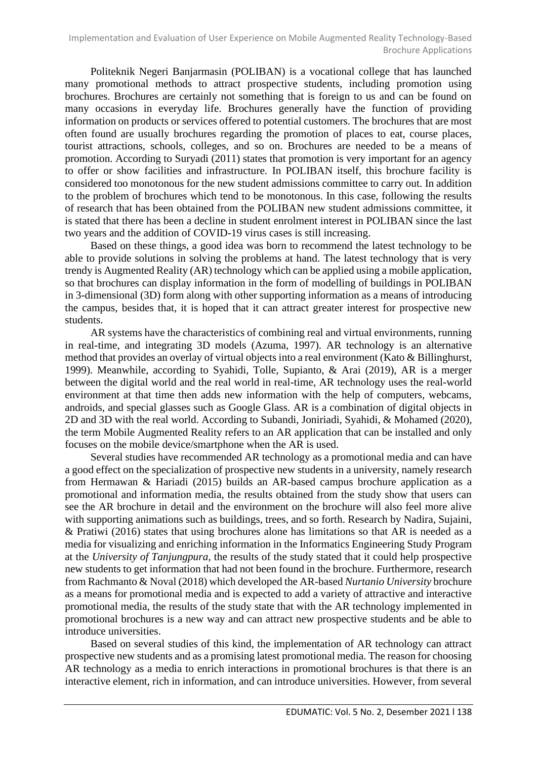Politeknik Negeri Banjarmasin (POLIBAN) is a vocational college that has launched many promotional methods to attract prospective students, including promotion using brochures. Brochures are certainly not something that is foreign to us and can be found on many occasions in everyday life. Brochures generally have the function of providing information on products or services offered to potential customers. The brochures that are most often found are usually brochures regarding the promotion of places to eat, course places, tourist attractions, schools, colleges, and so on. Brochures are needed to be a means of promotion. According to Suryadi (2011) states that promotion is very important for an agency to offer or show facilities and infrastructure. In POLIBAN itself, this brochure facility is considered too monotonous for the new student admissions committee to carry out. In addition to the problem of brochures which tend to be monotonous. In this case, following the results of research that has been obtained from the POLIBAN new student admissions committee, it is stated that there has been a decline in student enrolment interest in POLIBAN since the last two years and the addition of COVID-19 virus cases is still increasing.

Based on these things, a good idea was born to recommend the latest technology to be able to provide solutions in solving the problems at hand. The latest technology that is very trendy is Augmented Reality (AR) technology which can be applied using a mobile application, so that brochures can display information in the form of modelling of buildings in POLIBAN in 3-dimensional (3D) form along with other supporting information as a means of introducing the campus, besides that, it is hoped that it can attract greater interest for prospective new students.

AR systems have the characteristics of combining real and virtual environments, running in real-time, and integrating 3D models (Azuma, 1997). AR technology is an alternative method that provides an overlay of virtual objects into a real environment (Kato & Billinghurst, 1999). Meanwhile, according to Syahidi, Tolle, Supianto, & Arai (2019), AR is a merger between the digital world and the real world in real-time, AR technology uses the real-world environment at that time then adds new information with the help of computers, webcams, androids, and special glasses such as Google Glass. AR is a combination of digital objects in 2D and 3D with the real world. According to Subandi, Joniriadi, Syahidi, & Mohamed (2020), the term Mobile Augmented Reality refers to an AR application that can be installed and only focuses on the mobile device/smartphone when the AR is used.

Several studies have recommended AR technology as a promotional media and can have a good effect on the specialization of prospective new students in a university, namely research from Hermawan & Hariadi (2015) builds an AR-based campus brochure application as a promotional and information media, the results obtained from the study show that users can see the AR brochure in detail and the environment on the brochure will also feel more alive with supporting animations such as buildings, trees, and so forth. Research by Nadira, Sujaini, & Pratiwi (2016) states that using brochures alone has limitations so that AR is needed as a media for visualizing and enriching information in the Informatics Engineering Study Program at the *University of Tanjungpura*, the results of the study stated that it could help prospective new students to get information that had not been found in the brochure. Furthermore, research from Rachmanto & Noval (2018) which developed the AR-based *Nurtanio University* brochure as a means for promotional media and is expected to add a variety of attractive and interactive promotional media, the results of the study state that with the AR technology implemented in promotional brochures is a new way and can attract new prospective students and be able to introduce universities.

Based on several studies of this kind, the implementation of AR technology can attract prospective new students and as a promising latest promotional media. The reason for choosing AR technology as a media to enrich interactions in promotional brochures is that there is an interactive element, rich in information, and can introduce universities. However, from several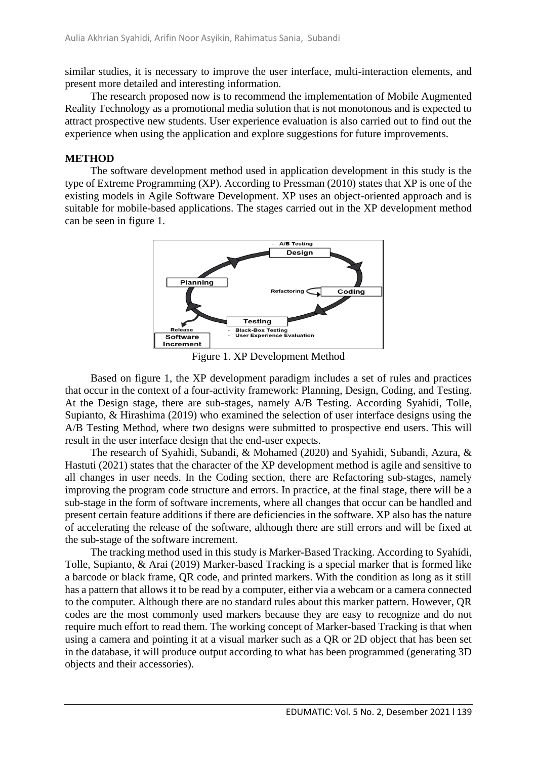similar studies, it is necessary to improve the user interface, multi-interaction elements, and present more detailed and interesting information.

The research proposed now is to recommend the implementation of Mobile Augmented Reality Technology as a promotional media solution that is not monotonous and is expected to attract prospective new students. User experience evaluation is also carried out to find out the experience when using the application and explore suggestions for future improvements.

#### **METHOD**

The software development method used in application development in this study is the type of Extreme Programming (XP). According to Pressman (2010) states that XP is one of the existing models in Agile Software Development. XP uses an object-oriented approach and is suitable for mobile-based applications. The stages carried out in the XP development method can be seen in figure 1.



Figure 1. XP Development Method

Based on figure 1, the XP development paradigm includes a set of rules and practices that occur in the context of a four-activity framework: Planning, Design, Coding, and Testing. At the Design stage, there are sub-stages, namely A/B Testing. According Syahidi, Tolle, Supianto, & Hirashima (2019) who examined the selection of user interface designs using the A/B Testing Method, where two designs were submitted to prospective end users. This will result in the user interface design that the end-user expects.

The research of Syahidi, Subandi, & Mohamed (2020) and Syahidi, Subandi, Azura, & Hastuti (2021) states that the character of the XP development method is agile and sensitive to all changes in user needs. In the Coding section, there are Refactoring sub-stages, namely improving the program code structure and errors. In practice, at the final stage, there will be a sub-stage in the form of software increments, where all changes that occur can be handled and present certain feature additions if there are deficiencies in the software. XP also has the nature of accelerating the release of the software, although there are still errors and will be fixed at the sub-stage of the software increment.

The tracking method used in this study is Marker-Based Tracking. According to Syahidi, Tolle, Supianto, & Arai (2019) Marker-based Tracking is a special marker that is formed like a barcode or black frame, QR code, and printed markers. With the condition as long as it still has a pattern that allows it to be read by a computer, either via a webcam or a camera connected to the computer. Although there are no standard rules about this marker pattern. However, QR codes are the most commonly used markers because they are easy to recognize and do not require much effort to read them. The working concept of Marker-based Tracking is that when using a camera and pointing it at a visual marker such as a QR or 2D object that has been set in the database, it will produce output according to what has been programmed (generating 3D objects and their accessories).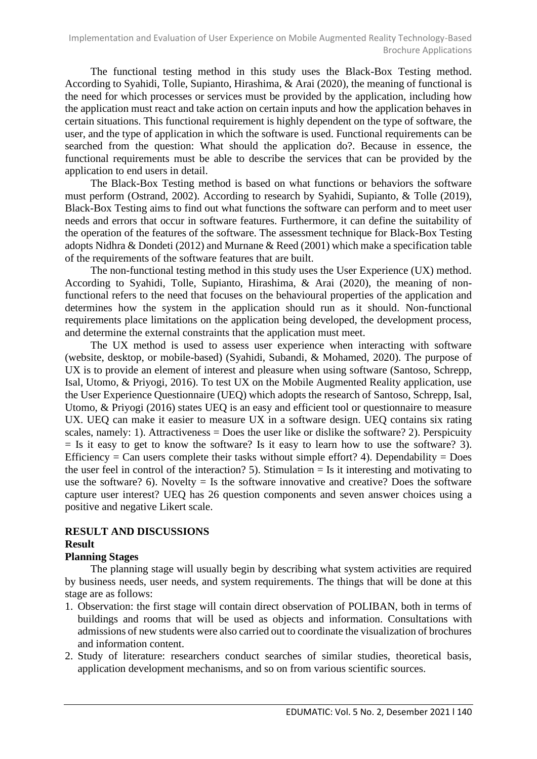The functional testing method in this study uses the Black-Box Testing method. According to Syahidi, Tolle, Supianto, Hirashima, & Arai (2020), the meaning of functional is the need for which processes or services must be provided by the application, including how the application must react and take action on certain inputs and how the application behaves in certain situations. This functional requirement is highly dependent on the type of software, the user, and the type of application in which the software is used. Functional requirements can be searched from the question: What should the application do?. Because in essence, the functional requirements must be able to describe the services that can be provided by the application to end users in detail.

The Black-Box Testing method is based on what functions or behaviors the software must perform (Ostrand, 2002). According to research by Syahidi, Supianto, & Tolle (2019), Black-Box Testing aims to find out what functions the software can perform and to meet user needs and errors that occur in software features. Furthermore, it can define the suitability of the operation of the features of the software. The assessment technique for Black-Box Testing adopts Nidhra & Dondeti (2012) and Murnane & Reed (2001) which make a specification table of the requirements of the software features that are built.

The non-functional testing method in this study uses the User Experience (UX) method. According to Syahidi, Tolle, Supianto, Hirashima, & Arai (2020), the meaning of nonfunctional refers to the need that focuses on the behavioural properties of the application and determines how the system in the application should run as it should. Non-functional requirements place limitations on the application being developed, the development process, and determine the external constraints that the application must meet.

The UX method is used to assess user experience when interacting with software (website, desktop, or mobile-based) (Syahidi, Subandi, & Mohamed, 2020). The purpose of UX is to provide an element of interest and pleasure when using software (Santoso, Schrepp, Isal, Utomo, & Priyogi, 2016). To test UX on the Mobile Augmented Reality application, use the User Experience Questionnaire (UEQ) which adopts the research of Santoso, Schrepp, Isal, Utomo, & Priyogi (2016) states UEQ is an easy and efficient tool or questionnaire to measure UX. UEQ can make it easier to measure UX in a software design. UEQ contains six rating scales, namely: 1). Attractiveness = Does the user like or dislike the software? 2). Perspicuity  $=$  Is it easy to get to know the software? Is it easy to learn how to use the software? 3). Efficiency = Can users complete their tasks without simple effort? 4). Dependability = Does the user feel in control of the interaction? 5). Stimulation  $=$  Is it interesting and motivating to use the software? 6). Novelty  $=$  Is the software innovative and creative? Does the software capture user interest? UEQ has 26 question components and seven answer choices using a positive and negative Likert scale.

### **RESULT AND DISCUSSIONS Result**

# **Planning Stages**

The planning stage will usually begin by describing what system activities are required by business needs, user needs, and system requirements. The things that will be done at this stage are as follows:

- 1. Observation: the first stage will contain direct observation of POLIBAN, both in terms of buildings and rooms that will be used as objects and information. Consultations with admissions of new students were also carried out to coordinate the visualization of brochures and information content.
- 2. Study of literature: researchers conduct searches of similar studies, theoretical basis, application development mechanisms, and so on from various scientific sources.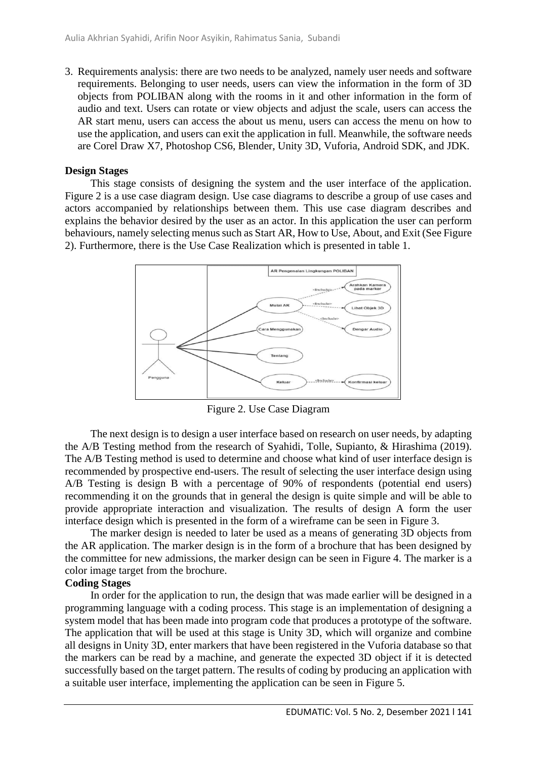3. Requirements analysis: there are two needs to be analyzed, namely user needs and software requirements. Belonging to user needs, users can view the information in the form of 3D objects from POLIBAN along with the rooms in it and other information in the form of audio and text. Users can rotate or view objects and adjust the scale, users can access the AR start menu, users can access the about us menu, users can access the menu on how to use the application, and users can exit the application in full. Meanwhile, the software needs are Corel Draw X7, Photoshop CS6, Blender, Unity 3D, Vuforia, Android SDK, and JDK.

### **Design Stages**

This stage consists of designing the system and the user interface of the application. Figure 2 is a use case diagram design. Use case diagrams to describe a group of use cases and actors accompanied by relationships between them. This use case diagram describes and explains the behavior desired by the user as an actor. In this application the user can perform behaviours, namely selecting menus such as Start AR, How to Use, About, and Exit (See Figure 2). Furthermore, there is the Use Case Realization which is presented in table 1.



Figure 2. Use Case Diagram

The next design is to design a user interface based on research on user needs, by adapting the A/B Testing method from the research of Syahidi, Tolle, Supianto, & Hirashima (2019). The A/B Testing method is used to determine and choose what kind of user interface design is recommended by prospective end-users. The result of selecting the user interface design using A/B Testing is design B with a percentage of 90% of respondents (potential end users) recommending it on the grounds that in general the design is quite simple and will be able to provide appropriate interaction and visualization. The results of design A form the user interface design which is presented in the form of a wireframe can be seen in Figure 3.

The marker design is needed to later be used as a means of generating 3D objects from the AR application. The marker design is in the form of a brochure that has been designed by the committee for new admissions, the marker design can be seen in Figure 4. The marker is a color image target from the brochure.

# **Coding Stages**

In order for the application to run, the design that was made earlier will be designed in a programming language with a coding process. This stage is an implementation of designing a system model that has been made into program code that produces a prototype of the software. The application that will be used at this stage is Unity 3D, which will organize and combine all designs in Unity 3D, enter markers that have been registered in the Vuforia database so that the markers can be read by a machine, and generate the expected 3D object if it is detected successfully based on the target pattern. The results of coding by producing an application with a suitable user interface, implementing the application can be seen in Figure 5.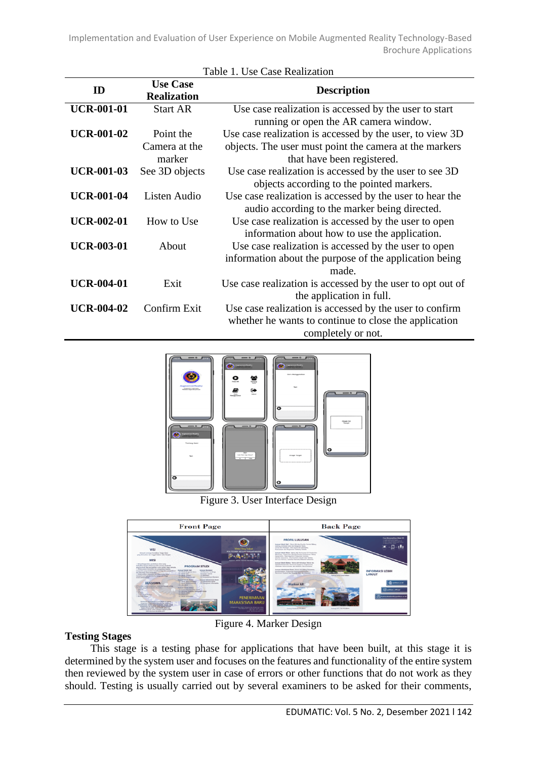Implementation and Evaluation of User Experience on Mobile Augmented Reality Technology-Based Brochure Applications

| Table 1. Use Case Realization |                                       |                                                            |  |  |
|-------------------------------|---------------------------------------|------------------------------------------------------------|--|--|
| ID                            | <b>Use Case</b><br><b>Realization</b> | <b>Description</b>                                         |  |  |
| <b>UCR-001-01</b>             | <b>Start AR</b>                       | Use case realization is accessed by the user to start      |  |  |
|                               |                                       | running or open the AR camera window.                      |  |  |
| <b>UCR-001-02</b>             | Point the                             | Use case realization is accessed by the user, to view 3D   |  |  |
|                               | Camera at the                         | objects. The user must point the camera at the markers     |  |  |
|                               | marker                                | that have been registered.                                 |  |  |
| <b>UCR-001-03</b>             | See 3D objects                        | Use case realization is accessed by the user to see 3D     |  |  |
|                               |                                       | objects according to the pointed markers.                  |  |  |
| <b>UCR-001-04</b>             | Listen Audio                          | Use case realization is accessed by the user to hear the   |  |  |
|                               |                                       | audio according to the marker being directed.              |  |  |
| <b>UCR-002-01</b>             | How to Use                            | Use case realization is accessed by the user to open       |  |  |
|                               |                                       | information about how to use the application.              |  |  |
| <b>UCR-003-01</b>             | About                                 | Use case realization is accessed by the user to open       |  |  |
|                               |                                       | information about the purpose of the application being     |  |  |
|                               |                                       | made.                                                      |  |  |
| <b>UCR-004-01</b>             | Exit                                  | Use case realization is accessed by the user to opt out of |  |  |
|                               |                                       | the application in full.                                   |  |  |
| <b>UCR-004-02</b>             | Confirm Exit                          | Use case realization is accessed by the user to confirm    |  |  |
|                               |                                       | whether he wants to continue to close the application      |  |  |
|                               |                                       | completely or not.                                         |  |  |



Figure 3. User Interface Design



Figure 4. Marker Design

# **Testing Stages**

This stage is a testing phase for applications that have been built, at this stage it is determined by the system user and focuses on the features and functionality of the entire system then reviewed by the system user in case of errors or other functions that do not work as they should. Testing is usually carried out by several examiners to be asked for their comments,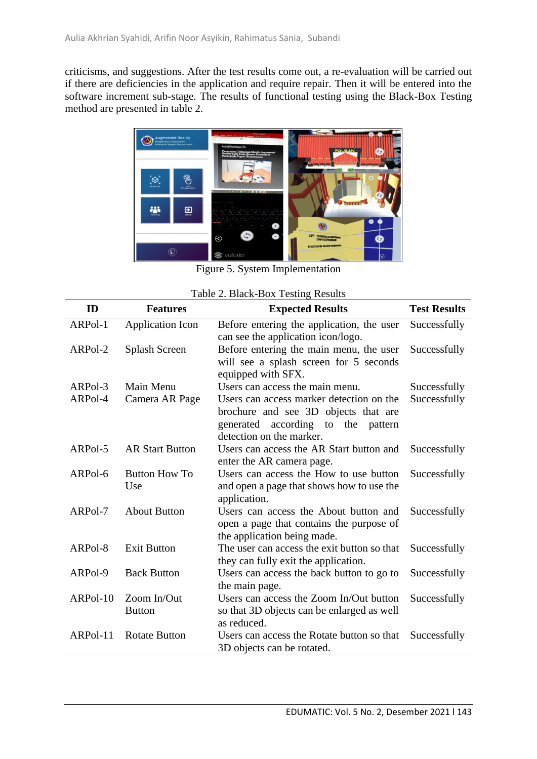criticisms, and suggestions. After the test results come out, a re-evaluation will be carried out if there are deficiencies in the application and require repair. Then it will be entered into the software increment sub-stage. The results of functional testing using the Black-Box Testing method are presented in table 2.



Figure 5. System Implementation

| ID       | <b>Features</b>              | <b>Expected Results</b>                                                                                                                            | <b>Test Results</b> |
|----------|------------------------------|----------------------------------------------------------------------------------------------------------------------------------------------------|---------------------|
| ARPol-1  | Application Icon             | Before entering the application, the user<br>can see the application icon/logo.                                                                    | Successfully        |
| ARPol-2  | Splash Screen                | Before entering the main menu, the user<br>will see a splash screen for 5 seconds<br>equipped with SFX.                                            | Successfully        |
| ARPol-3  | Main Menu                    | Users can access the main menu.                                                                                                                    | Successfully        |
| ARPol-4  | Camera AR Page               | Users can access marker detection on the<br>brochure and see 3D objects that are<br>generated according to the pattern<br>detection on the marker. | Successfully        |
| ARPol-5  | <b>AR Start Button</b>       | Users can access the AR Start button and<br>enter the AR camera page.                                                                              | Successfully        |
| ARPol-6  | <b>Button How To</b><br>Use  | Users can access the How to use button<br>and open a page that shows how to use the<br>application.                                                | Successfully        |
| ARPol-7  | <b>About Button</b>          | Users can access the About button and<br>open a page that contains the purpose of<br>the application being made.                                   | Successfully        |
| ARPol-8  | <b>Exit Button</b>           | The user can access the exit button so that<br>they can fully exit the application.                                                                | Successfully        |
| ARPol-9  | <b>Back Button</b>           | Users can access the back button to go to<br>the main page.                                                                                        | Successfully        |
| ARPol-10 | Zoom In/Out<br><b>Button</b> | Users can access the Zoom In/Out button<br>so that 3D objects can be enlarged as well<br>as reduced.                                               | Successfully        |
| ARPol-11 | <b>Rotate Button</b>         | Users can access the Rotate button so that<br>3D objects can be rotated.                                                                           | Successfully        |

#### Table 2. Black-Box Testing Results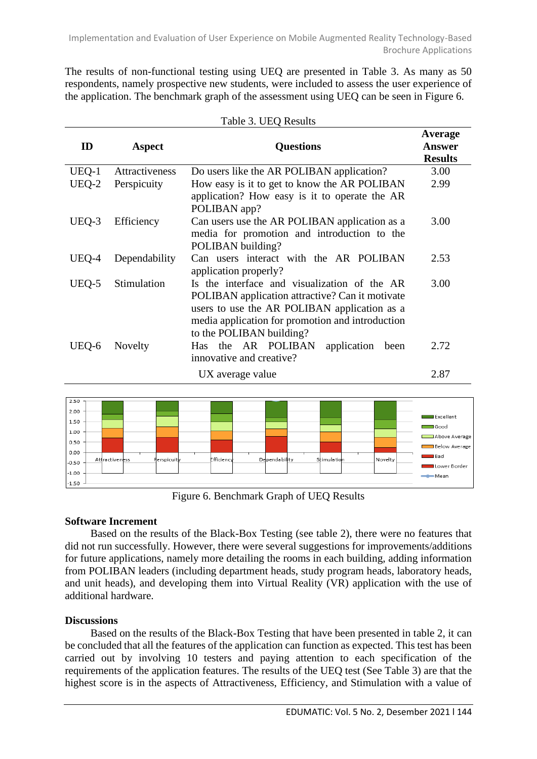Implementation and Evaluation of User Experience on Mobile Augmented Reality Technology-Based Brochure Applications

The results of non-functional testing using UEQ are presented in Table 3. As many as 50 respondents, namely prospective new students, were included to assess the user experience of the application. The benchmark graph of the assessment using UEQ can be seen in Figure 6.

| ID    | Aspect         | <b>Questions</b>                                                                                                                                                                                                                | Average<br><b>Answer</b><br><b>Results</b> |
|-------|----------------|---------------------------------------------------------------------------------------------------------------------------------------------------------------------------------------------------------------------------------|--------------------------------------------|
| UEQ-1 | Attractiveness | Do users like the AR POLIBAN application?                                                                                                                                                                                       | 3.00                                       |
| UEQ-2 | Perspicuity    | How easy is it to get to know the AR POLIBAN<br>application? How easy is it to operate the AR<br>POLIBAN app?                                                                                                                   | 2.99                                       |
| UEQ-3 | Efficiency     | Can users use the AR POLIBAN application as a<br>media for promotion and introduction to the<br>POLIBAN building?                                                                                                               | 3.00                                       |
| UEQ-4 | Dependability  | Can users interact with the AR POLIBAN<br>application properly?                                                                                                                                                                 | 2.53                                       |
| UEQ-5 | Stimulation    | Is the interface and visualization of the AR<br>POLIBAN application attractive? Can it motivate<br>users to use the AR POLIBAN application as a<br>media application for promotion and introduction<br>to the POLIBAN building? | 3.00                                       |
| UEQ-6 | Novelty        | Has the AR POLIBAN<br>application<br>been<br>innovative and creative?                                                                                                                                                           | 2.72                                       |
|       |                | UX average value                                                                                                                                                                                                                | 2.87                                       |

| Table 3. UEQ Results |  |  |
|----------------------|--|--|
|----------------------|--|--|



Figure 6. Benchmark Graph of UEQ Results

# **Software Increment**

Based on the results of the Black-Box Testing (see table 2), there were no features that did not run successfully. However, there were several suggestions for improvements/additions for future applications, namely more detailing the rooms in each building, adding information from POLIBAN leaders (including department heads, study program heads, laboratory heads, and unit heads), and developing them into Virtual Reality (VR) application with the use of additional hardware.

# **Discussions**

Based on the results of the Black-Box Testing that have been presented in table 2, it can be concluded that all the features of the application can function as expected. This test has been carried out by involving 10 testers and paying attention to each specification of the requirements of the application features. The results of the UEQ test (See Table 3) are that the highest score is in the aspects of Attractiveness, Efficiency, and Stimulation with a value of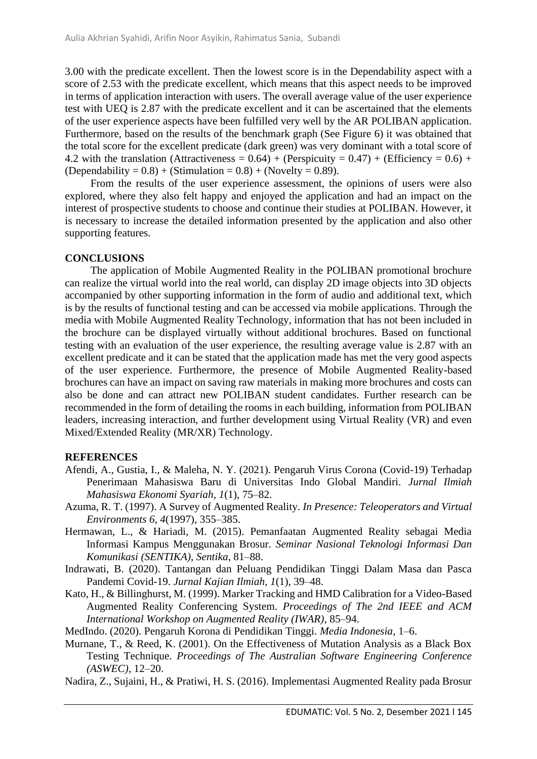3.00 with the predicate excellent. Then the lowest score is in the Dependability aspect with a score of 2.53 with the predicate excellent, which means that this aspect needs to be improved in terms of application interaction with users. The overall average value of the user experience test with UEQ is 2.87 with the predicate excellent and it can be ascertained that the elements of the user experience aspects have been fulfilled very well by the AR POLIBAN application. Furthermore, based on the results of the benchmark graph (See Figure 6) it was obtained that the total score for the excellent predicate (dark green) was very dominant with a total score of 4.2 with the translation (Attractiveness =  $0.64$ ) + (Perspicuity =  $0.47$ ) + (Efficiency =  $0.6$ ) +  $(Dependability = 0.8) + (Stimulation = 0.8) + (Novelly = 0.89).$ 

From the results of the user experience assessment, the opinions of users were also explored, where they also felt happy and enjoyed the application and had an impact on the interest of prospective students to choose and continue their studies at POLIBAN. However, it is necessary to increase the detailed information presented by the application and also other supporting features.

#### **CONCLUSIONS**

The application of Mobile Augmented Reality in the POLIBAN promotional brochure can realize the virtual world into the real world, can display 2D image objects into 3D objects accompanied by other supporting information in the form of audio and additional text, which is by the results of functional testing and can be accessed via mobile applications. Through the media with Mobile Augmented Reality Technology, information that has not been included in the brochure can be displayed virtually without additional brochures. Based on functional testing with an evaluation of the user experience, the resulting average value is 2.87 with an excellent predicate and it can be stated that the application made has met the very good aspects of the user experience. Furthermore, the presence of Mobile Augmented Reality-based brochures can have an impact on saving raw materials in making more brochures and costs can also be done and can attract new POLIBAN student candidates. Further research can be recommended in the form of detailing the rooms in each building, information from POLIBAN leaders, increasing interaction, and further development using Virtual Reality (VR) and even Mixed/Extended Reality (MR/XR) Technology.

#### **REFERENCES**

- Afendi, A., Gustia, I., & Maleha, N. Y. (2021). Pengaruh Virus Corona (Covid-19) Terhadap Penerimaan Mahasiswa Baru di Universitas Indo Global Mandiri. *Jurnal Ilmiah Mahasiswa Ekonomi Syariah*, *1*(1), 75–82.
- Azuma, R. T. (1997). A Survey of Augmented Reality. *In Presence: Teleoperators and Virtual Environments 6*, *4*(1997), 355–385.
- Hermawan, L., & Hariadi, M. (2015). Pemanfaatan Augmented Reality sebagai Media Informasi Kampus Menggunakan Brosur. *Seminar Nasional Teknologi Informasi Dan Komunikasi (SENTIKA)*, *Sentika*, 81–88.
- Indrawati, B. (2020). Tantangan dan Peluang Pendidikan Tinggi Dalam Masa dan Pasca Pandemi Covid-19. *Jurnal Kajian Ilmiah*, *1*(1), 39–48.
- Kato, H., & Billinghurst, M. (1999). Marker Tracking and HMD Calibration for a Video-Based Augmented Reality Conferencing System. *Proceedings of The 2nd IEEE and ACM International Workshop on Augmented Reality (IWAR)*, 85–94.
- MedIndo. (2020). Pengaruh Korona di Pendidikan Tinggi. *Media Indonesia*, 1–6.
- Murnane, T., & Reed, K. (2001). On the Effectiveness of Mutation Analysis as a Black Box Testing Technique. *Proceedings of The Australian Software Engineering Conference (ASWEC)*, 12–20.
- Nadira, Z., Sujaini, H., & Pratiwi, H. S. (2016). Implementasi Augmented Reality pada Brosur